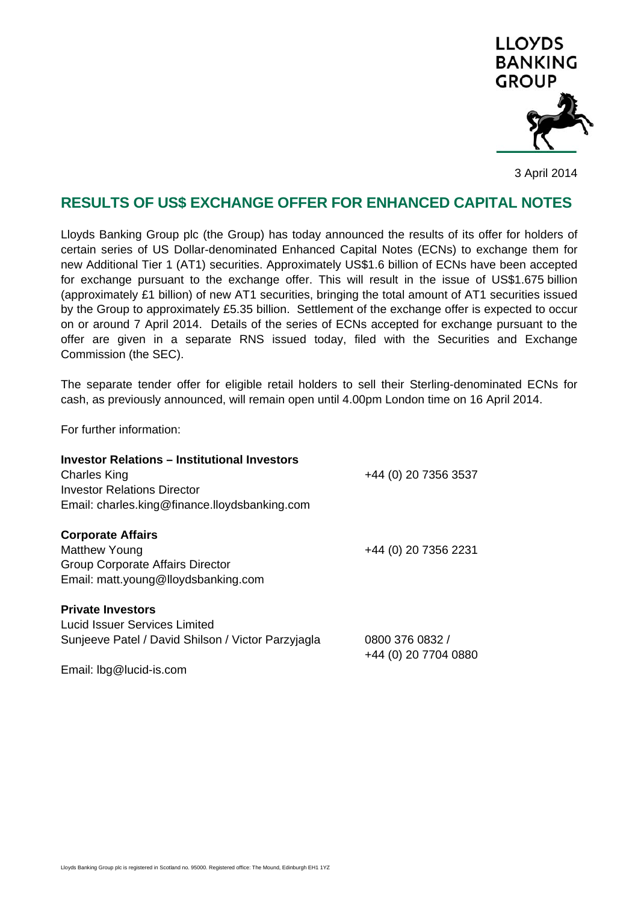

3 April 2014

## **RESULTS OF US\$ EXCHANGE OFFER FOR ENHANCED CAPITAL NOTES**

Lloyds Banking Group plc (the Group) has today announced the results of its offer for holders of certain series of US Dollar-denominated Enhanced Capital Notes (ECNs) to exchange them for new Additional Tier 1 (AT1) securities. Approximately US\$1.6 billion of ECNs have been accepted for exchange pursuant to the exchange offer. This will result in the issue of US\$1.675 billion (approximately £1 billion) of new AT1 securities, bringing the total amount of AT1 securities issued by the Group to approximately £5.35 billion. Settlement of the exchange offer is expected to occur on or around 7 April 2014. Details of the series of ECNs accepted for exchange pursuant to the offer are given in a separate RNS issued today, filed with the Securities and Exchange Commission (the SEC).

The separate tender offer for eligible retail holders to sell their Sterling-denominated ECNs for cash, as previously announced, will remain open until 4.00pm London time on 16 April 2014.

For further information:

| <b>Investor Relations – Institutional Investors</b><br><b>Charles King</b><br><b>Investor Relations Director</b><br>Email: charles.king@finance.lloydsbanking.com | +44 (0) 20 7356 3537                    |
|-------------------------------------------------------------------------------------------------------------------------------------------------------------------|-----------------------------------------|
| <b>Corporate Affairs</b><br>Matthew Young<br><b>Group Corporate Affairs Director</b><br>Email: matt.young@lloydsbanking.com                                       | +44 (0) 20 7356 2231                    |
| <b>Private Investors</b><br>Lucid Issuer Services Limited<br>Sunjeeve Patel / David Shilson / Victor Parzyjagla<br>Email: lbg@lucid-is.com                        | 0800 376 0832 /<br>+44 (0) 20 7704 0880 |